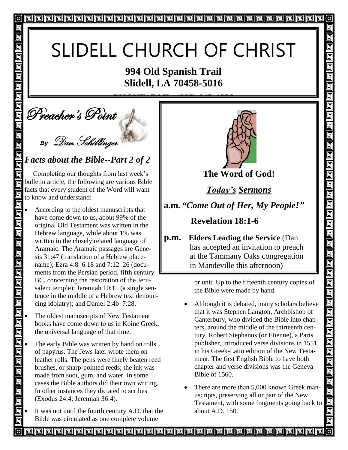# SLIDELL CHURCH OF CHRIST

## **994 Old Spanish Trail Slidell, LA 70458-5016**

**PHONE/ FAX: (985) 643-4826**

**September**'s Point  $\mathcal{L}$ 

回

回

回 同

回 回

回  $\overline{\mathbb{G}}$ 

同

回

回

団 同

回

回

回

回

回

回

回

画

画

画

回 回

回

回

同

Π

*By* Dan Schillinger

### *Facts about the Bible--Part 2 of 2*

 Completing our thoughts from last week's bulletin article, the following are various Bible facts that every student of the Word will want to know and understand:

- 同 According to the oldest manuscripts that have come down to us, about 99% of the original Old Testament was written in the Hebrew language, while about 1% was written in the closely related language of Aramaic. The Aramaic passages are Genesis 31:47 (translation of a Hebrew placename); Ezra 4:8–6:18 and 7:12–26 (documents from the Persian period, fifth century BC, concerning the restoration of the Jerusalem temple); Jeremiah 10:11 (a single sentence in the middle of a Hebrew text denoun-回 cing idolatry); and Daniel 2:4b–7:28.
	- The oldest manuscripts of New Testament books have come down to us in Koine Greek, the universal language of that time.
- 回 The early Bible was written by hand on rolls 回 of papyrus. The Jews later wrote them on leather rolls. The pens were finely beaten reed 回 brushes, or sharp-pointed reeds; the ink was 回 made from soot, gum, and water. In some cases the Bible authors did their own writing. 回 In other instances they dictated to scribes (Exodus 24:4; Jeremiah 36:4). 同
	- It was not until the fourth century A.D. that the Bible was circulated as one complete volume



 $\overline{O}$ 

回

5

5  $\overline{\mathbb{F}}$ 

 $\blacksquare$ 

回 回 <u>ក</u>

<u>ក</u>

<u>দ</u>

回 回

回

回

回

回

<u>回</u>

回

回  $\overline{\mathbb{D}}$ 

 $\overline{\overline{\mathbb{G}}}$ 

 $\overline{\mathsf{q}}$ 

o<br>Olo

<u>| g| g|</u>

 $\overline{\blacksquare}$ 

 $\blacksquare$ 

回

回

<u>gian</u>

 $\blacksquare$ ó

回

回

**The Word of God!**

*Today's Sermons*

**a.m.** *"Come Out of Her, My People!"*

 **Revelation 18:1-6**

**p.m. Elders Leading the Service** (Dan has accepted an invitation to preach at the Tammany Oaks congregation in Mandeville this afternoon)

> or unit. Up to the fifteenth century copies of the Bible were made by hand.

- Although it is debated, many scholars believe that it was Stephen Langton, Archbishop of Canterbury, who divided the Bible into chapters, around the middle of the thirteenth century. Robert Stephanus (or Etienne), a Paris publisher, introduced verse divisions in 1551 in his Greek-Latin edition of the New Testament. The first English Bible to have both chapter and verse divisions was the Geneva Bible of 1560.
- There are more than 5,000 known Greek manuscripts, preserving all or part of the New Testament, with some fragments going back to about A.D. 150.

**PPPPPPPPPPPPPPPPPPPP**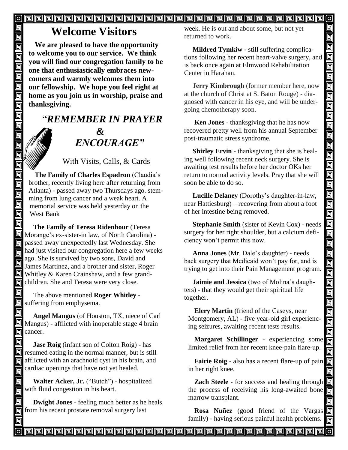$\overline{\blacksquare}$ 

## **Welcome Visitors**

回

同

 $\overline{\overline{\mathbb{G}}}$ Ō

d<br>Olo

画  $\overline{\overline{\mathsf{g}}}$ 回  $\blacksquare$ 回 回 回 叵 回

da

画 靣

回

同

**We are pleased to have the opportunity to welcome you to our service. We think you will find our congregation family to be one that enthusiastically embraces newcomers and warmly welcomes them into our fellowship. We hope you feel right at home as you join us in worship, praise and thanksgiving.**

## "*REMEMBER IN PRAYER &* " *ENCOURAGE"*

With Visits, Calls, & Cards

**The Family of Charles Espadron** (Claudia's brother, recently living here after returning from Atlanta) - passed away two Thursdays ago. stemming from lung cancer and a weak heart. A memorial service was held yesterday on the West Bank

回  **The Family of Teresa Ridenhour** (Teresa Morange's ex-sister-in law, of North Carolina) - 同 passed away unexpectedly last Wednesday. She  $\overline{m}$  had just visited our congregation here a few weeks ago. She is survived by two sons, David and James Martinez, and a brother and sister, Roger Whitley & Karen Crainshaw, and a few grandchildren. She and Teresa were very close.

回 The above mentioned **Roger Whitley** -  $\boxed{5}$  suffering from emphysema.

回  **Angel Mangus** (of Houston, TX, niece of Carl Mangus) - afflicted with inoperable stage 4 brain  $\overline{\mathbb{G}}$  cancer.

回 **Jase Roig** (infant son of Colton Roig) - has **n** resumed eating in the normal manner, but is still for afflicted with an arachnoid cyst in his brain, and cardiac openings that have not yet healed.

回 **Walter Acker, Jr.** ("Butch") - hospitalized  $\overline{\mathbb{F}}$  with fluid congestion in his heart.

 **Dwight Jones** - feeling much better as he heals from his recent prostate removal surgery last

week. He is out and about some, but not yet returned to work.

 **Mildred Tymkiw -** still suffering complications following her recent heart-valve surgery, and is back once again at Elmwood Rehabilitation Center in Harahan.

 **Jerry Kimbrough** (former member here, now at the church of Christ at S. Baton Rouge) - diagnosed with cancer in his eye, and will be undergoing chemotherapy soon. Î

 **Ken Jones** - thanksgiving that he has now recovered pretty well from his annual September post-traumatic stress syndrome.

 **Shirley Ervin** - thanksgiving that she is healing well following recent neck surgery. She is awaiting test results before her doctor OKs her return to normal activity levels. Pray that she will soon be able to do so.

 **Lucille Delaney** (Dorothy's daughter-in-law, near Hattiesburg) – recovering from about a foot of her intestine being removed.

 **Stephanie Smith** (sister of Kevin Cox) - needs surgery for her right shoulder, but a calcium deficiency won't permit this now.

 **Anna Jones** (Mr. Dale's daughter) - needs back surgery that Medicaid won't pay for, and is trying to get into their Pain Management program.

 **Jaimie and Jessica** (two of Molina's daughters) - that they would get their spiritual life together.

**Elery Martin** (friend of the Caseys, near Montgomery, AL) - five year-old girl experiencing seizures, awaiting recent tests results.

**Margaret Schillinger** - experiencing some limited relief from her recent knee-pain flare-up.

**Fairie Roig** - also has a recent flare-up of pain in her right knee.

**Zach Steele** - for success and healing through the process of receiving his long-awaited bone marrow transplant.

**Rosa Nuñez** (good friend of the Vargas family) - having serious painful health problems.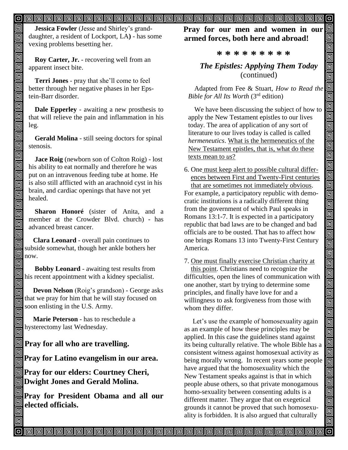#### 

**Jessica Fowler** (Jesse and Shirley's granddaughter, a resident of Lockport, LA**)** - has some vexing problems besetting her.

**Roy Carter, Jr.** - recovering well from an apparent insect bite.

**Terri Jones** - pray that she'll come to feel better through her negative phases in her Epstein-Barr disorder.

**Dale Epperley** - awaiting a new prosthesis to that will relieve the pain and inflammation in his leg.

**Gerald Molina** - still seeing doctors for spinal stenosis.

**Jace Roig** (newborn son of Colton Roig) - lost his ability to eat normally and therefore he was put on an intravenous feeding tube at home. He is also still afflicted with an arachnoid cyst in his brain, and cardiac openings that have not yet healed.

**Sharon Honoré** (sister of Anita, and a member at the Crowder Blvd. church) - has advanced breast cancer.

 **Clara Leonard** - overall pain continues to subside somewhat, though her ankle bothers her now.

 **Bobby Leonard** - awaiting test results from his recent appointment with a kidney specialist.

 **Devon Nelson** (Roig's grandson) - George asks that we pray for him that he will stay focused on soon enlisting in the U.S. Army.

 **Marie Peterson** - has to reschedule a hysterectomy last Wednesday.

## **Pray for all who are travelling.**

**Pray for Latino evangelism in our area.**

**Pray for our elders: Courtney Cheri, Dwight Jones and Gerald Molina.**

**Pray for President Obama and all our elected officials.** 

**Pray for our men and women in our armed forces, both here and abroad!**

 $|0|$ 

回

99

回 Ō

<u>ieir</u>

000000

<u>olololololo</u>

<u>gigja</u>

<u>ele</u>

اوا وا وا وا وا وا وا وا

<u>ololo da</u>

回回回回

冋

#### **\* \* \* \* \* \* \* \* \***

*The Epistles: Applying Them Today* (continued)

Adapted from Fee & Stuart, *How to Read the Bible for All Its Worth* (3rd edition)

We have been discussing the subject of how to apply the New Testament epistles to our lives today. The area of application of any sort of literature to our lives today is called is called *hermeneutics*. What is the hermeneutics of the New Testament epistles, that is, what do these texts mean to *us*?

6. One must keep alert to possible cultural differ ences between First and Twenty-First centuries that are sometimes not immediately obvious. For example, a participatory republic with democratic institutions is a radically different thing from the government of which Paul speaks in Romans 13:1-7. It is expected in a participatory republic that bad laws are to be changed and bad officials are to be ousted. That has to affect how one brings Romans 13 into Twenty-First Century America.

7. One must finally exercise Christian charity at this point. Christians need to recognize the difficulties, open the lines of communication with one another, start by trying to determine some principles, and finally have love for and a willingness to ask forgiveness from those with whom they differ.

 Let's use the example of homosexuality again as an example of how these principles may be applied. In this case the guidelines stand against its being culturally relative. The whole Bible has a consistent witness against homosexual activity as being morally wrong. In recent years some people have argued that the homosexuality which the New Testament speaks against is that in which people abuse others, so that private monogamous homo-sexuality between consenting adults is a different matter. They argue that on exegetical grounds it cannot be proved that such homosexuality is forbidden. It is also argued that culturally

<u>o popopopopopopopopopopopopopopopopo</u>